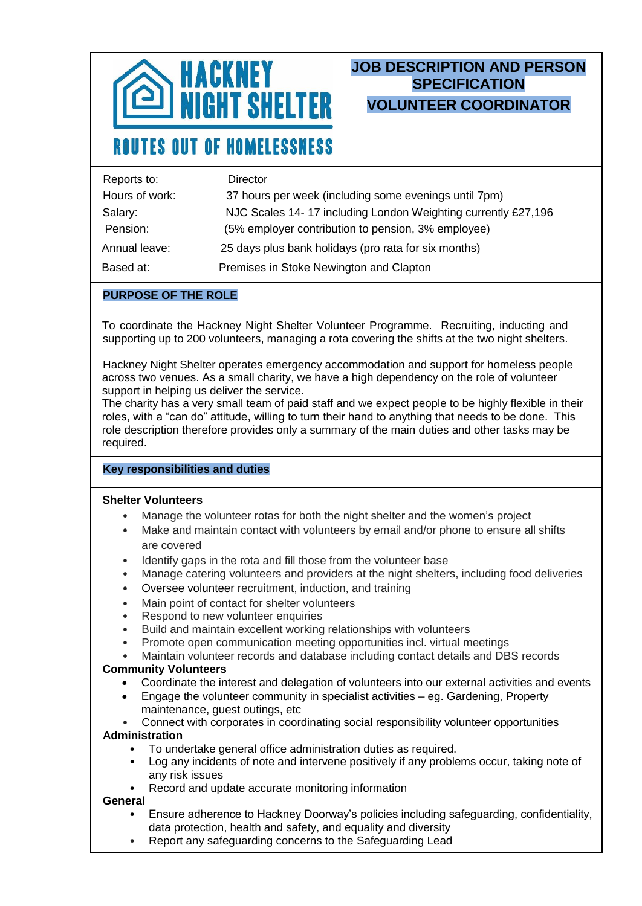

# **JOB DESCRIPTION AND PERSON SPECIFICATION**

## **VOLUNTEER COORDINATOR**

# **ROUTES OUT OF HOMELESSNESS**

| Reports to:    | Director                                                      |
|----------------|---------------------------------------------------------------|
| Hours of work: | 37 hours per week (including some evenings until 7pm)         |
| Salary:        | NJC Scales 14-17 including London Weighting currently £27,196 |
| Pension:       | (5% employer contribution to pension, 3% employee)            |
| Annual leave:  | 25 days plus bank holidays (pro rata for six months)          |
| Based at:      | Premises in Stoke Newington and Clapton                       |

### **PURPOSE OF THE ROLE**

To coordinate the Hackney Night Shelter Volunteer Programme. Recruiting, inducting and supporting up to 200 volunteers, managing a rota covering the shifts at the two night shelters.

Hackney Night Shelter operates emergency accommodation and support for homeless people across two venues. As a small charity, we have a high dependency on the role of volunteer support in helping us deliver the service.

The charity has a very small team of paid staff and we expect people to be highly flexible in their roles, with a "can do" attitude, willing to turn their hand to anything that needs to be done. This role description therefore provides only a summary of the main duties and other tasks may be required.

### **Key responsibilities and duties**

#### **Shelter Volunteers**

- Manage the volunteer rotas for both the night shelter and the women's project
- Make and maintain contact with volunteers by email and/or phone to ensure all shifts are covered
- Identify gaps in the rota and fill those from the volunteer base
- Manage catering volunteers and providers at the night shelters, including food deliveries
- Oversee volunteer recruitment, induction, and training
- Main point of contact for shelter volunteers
- Respond to new volunteer enquiries
- Build and maintain excellent working relationships with volunteers
- Promote open communication meeting opportunities incl. virtual meetings
- Maintain volunteer records and database including contact details and DBS records

#### **Community Volunteers**

- Coordinate the interest and delegation of volunteers into our external activities and events
- Engage the volunteer community in specialist activities eg. Gardening, Property maintenance, guest outings, etc

• Connect with corporates in coordinating social responsibility volunteer opportunities **Administration**

- To undertake general office administration duties as required.
- Log any incidents of note and intervene positively if any problems occur, taking note of any risk issues
- Record and update accurate monitoring information

#### **General**

- Ensure adherence to Hackney Doorway's policies including safeguarding, confidentiality, data protection, health and safety, and equality and diversity
- Report any safeguarding concerns to the Safeguarding Lead